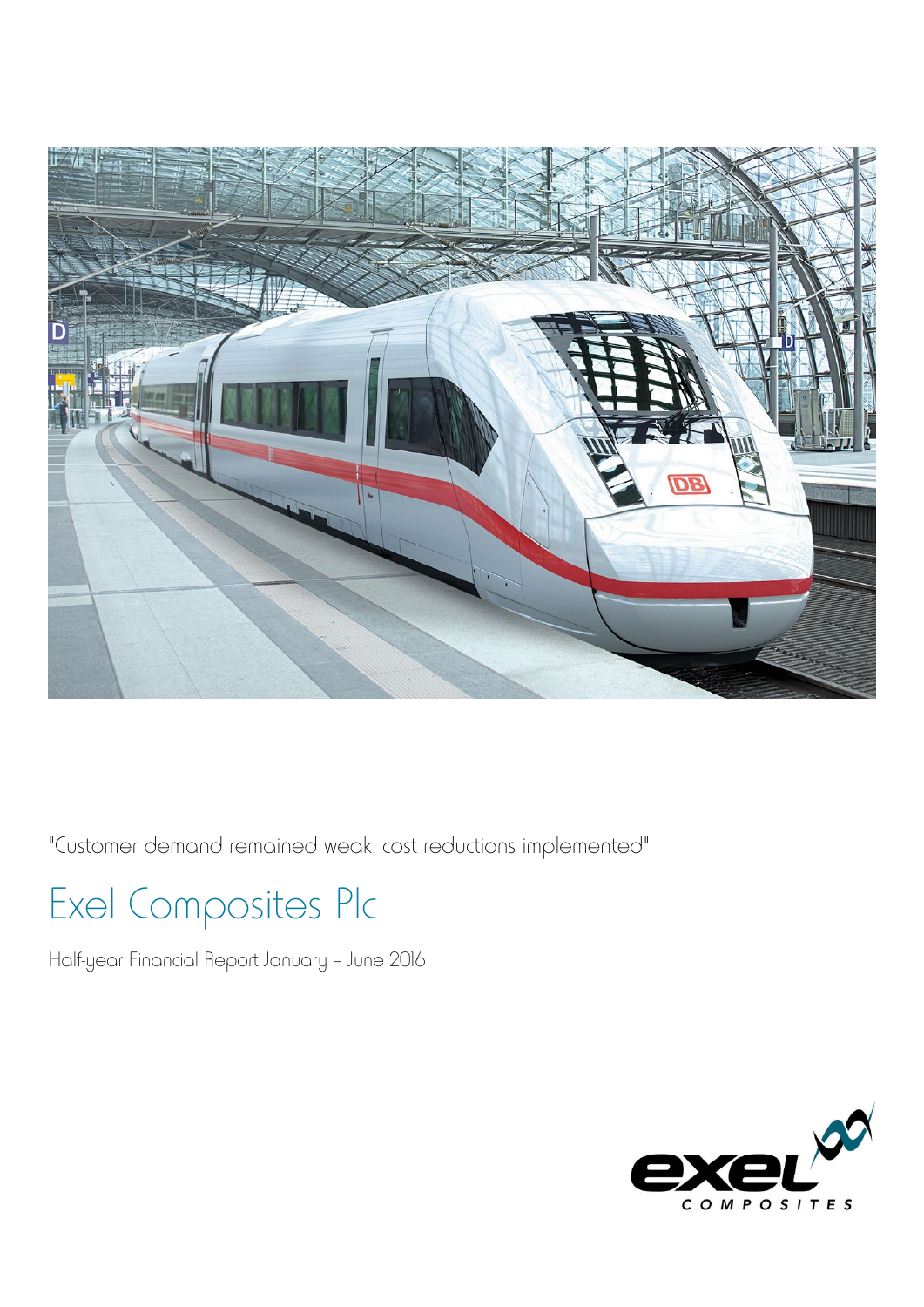

"Customer demand remained weak, cost reductions implemented"

## Exel Composites Plc

Half-year Financial Report January – June 2016

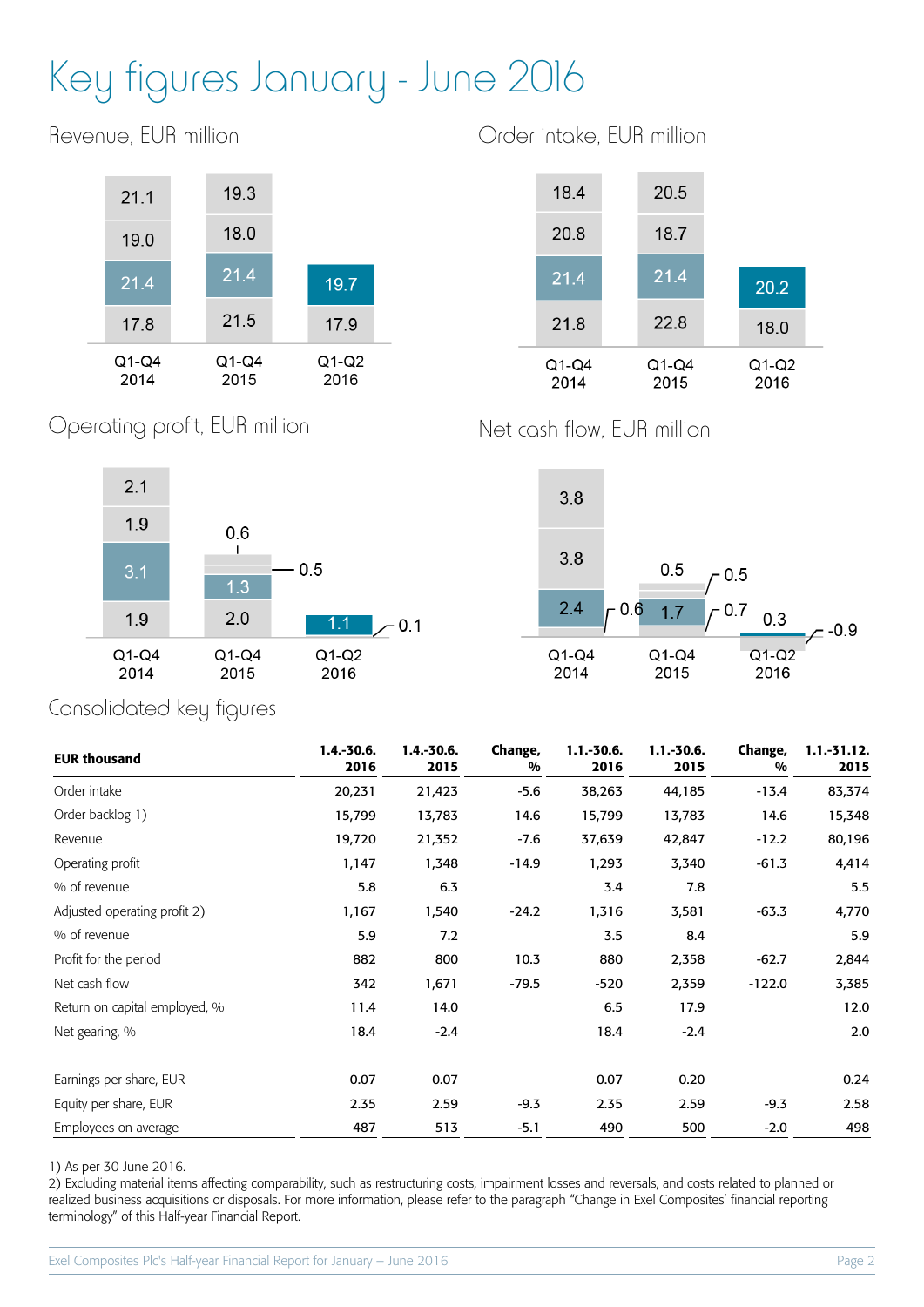# Key figures January - June 2016

19.3  $21.1$ 18.0 19.0  $21.4$ 21.4 19.7 21.5 17.8 17.9  $Q1-Q4$  $Q1-Q4$  $Q1-Q2$ 2014 2015 2016

Revenue, EUR million

Order intake, EUR million



Net cash flow, EUR million





### Consolidated key figures

Operating profit, EUR million

| <b>EUR thousand</b>           | $1.4 - 30.6.$<br>2016 | $1.4.-30.6.$<br>2015 | Change,<br>% | $1.1.-30.6.$<br>2016 | $1.1 - 30.6.$<br>2015 | Change,<br>% | $1.1 - 31.12.$<br>2015 |
|-------------------------------|-----------------------|----------------------|--------------|----------------------|-----------------------|--------------|------------------------|
| Order intake                  | 20,231                | 21,423               | $-5.6$       | 38,263               | 44,185                | $-13.4$      | 83,374                 |
| Order backlog 1)              | 15,799                | 13,783               | 14.6         | 15,799               | 13,783                | 14.6         | 15,348                 |
| Revenue                       | 19,720                | 21,352               | $-7.6$       | 37,639               | 42,847                | $-12.2$      | 80,196                 |
| Operating profit              | 1,147                 | 1,348                | $-14.9$      | 1,293                | 3,340                 | $-61.3$      | 4,414                  |
| % of revenue                  | 5.8                   | 6.3                  |              | 3.4                  | 7.8                   |              | 5.5                    |
| Adjusted operating profit 2)  | 1,167                 | 1,540                | $-24.2$      | 1,316                | 3,581                 | $-63.3$      | 4,770                  |
| % of revenue                  | 5.9                   | 7.2                  |              | 3.5                  | 8.4                   |              | 5.9                    |
| Profit for the period         | 882                   | 800                  | 10.3         | 880                  | 2,358                 | $-62.7$      | 2,844                  |
| Net cash flow                 | 342                   | 1,671                | $-79.5$      | $-520$               | 2,359                 | $-122.0$     | 3,385                  |
| Return on capital employed, % | 11.4                  | 14.0                 |              | 6.5                  | 17.9                  |              | 12.0                   |
| Net gearing, %                | 18.4                  | $-2.4$               |              | 18.4                 | $-2.4$                |              | 2.0                    |
| Earnings per share, EUR       | 0.07                  | 0.07                 |              | 0.07                 | 0.20                  |              | 0.24                   |
| Equity per share, EUR         | 2.35                  | 2.59                 | $-9.3$       | 2.35                 | 2.59                  | $-9.3$       | 2.58                   |
| Employees on average          | 487                   | 513                  | $-5.1$       | 490                  | 500                   | $-2.0$       | 498                    |

1) As per 30 June 2016.

2) Excluding material items affecting comparability, such as restructuring costs, impairment losses and reversals, and costs related to planned or realized business acquisitions or disposals. For more information, please refer to the paragraph "Change in Exel Composites' financial reporting terminology" of this Half-year Financial Report.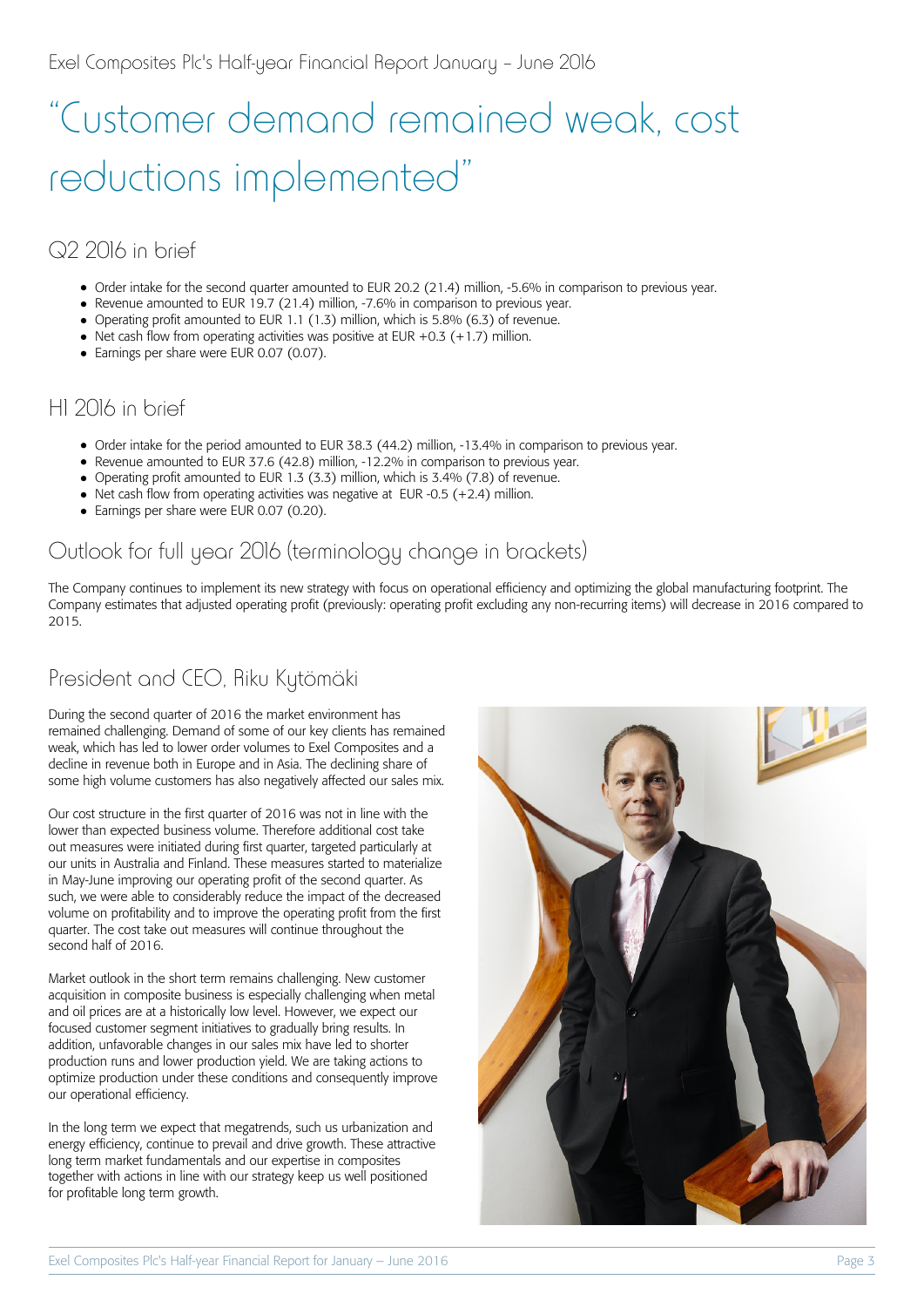# "Customer demand remained weak, cost reductions implemented"

## Q2 2016 in brief

- Order intake for the second quarter amounted to EUR 20.2 (21.4) million, -5.6% in comparison to previous year.
- Revenue amounted to EUR 19.7 (21.4) million, -7.6% in comparison to previous year.
- Operating profit amounted to EUR 1.1 (1.3) million, which is 5.8% (6.3) of revenue.
- Net cash flow from operating activities was positive at EUR +0.3 (+1.7) million.
- Earnings per share were EUR 0.07 (0.07).

#### H1 2016 in brief

- Order intake for the period amounted to EUR 38.3 (44.2) million, -13.4% in comparison to previous year.
- Revenue amounted to EUR 37.6 (42.8) million, -12.2% in comparison to previous year.
- Operating profit amounted to EUR 1.3 (3.3) million, which is 3.4% (7.8) of revenue.
- $\bullet$  Net cash flow from operating activities was negative at EUR -0.5 (+2.4) million.
- Earnings per share were EUR 0.07 (0.20).

## Outlook for full year 2016 (terminology change in brackets)

The Company continues to implement its new strategy with focus on operational efficiency and optimizing the global manufacturing footprint. The Company estimates that adjusted operating profit (previously: operating profit excluding any non-recurring items) will decrease in 2016 compared to 2015.

## President and CEO, Riku Kytömäki

During the second quarter of 2016 the market environment has remained challenging. Demand of some of our key clients has remained weak, which has led to lower order volumes to Exel Composites and a decline in revenue both in Europe and in Asia. The declining share of some high volume customers has also negatively affected our sales mix.

Our cost structure in the first quarter of 2016 was not in line with the lower than expected business volume. Therefore additional cost take out measures were initiated during first quarter, targeted particularly at our units in Australia and Finland. These measures started to materialize in May-June improving our operating profit of the second quarter. As such, we were able to considerably reduce the impact of the decreased volume on profitability and to improve the operating profit from the first quarter. The cost take out measures will continue throughout the second half of 2016.

Market outlook in the short term remains challenging. New customer acquisition in composite business is especially challenging when metal and oil prices are at a historically low level. However, we expect our focused customer segment initiatives to gradually bring results. In addition, unfavorable changes in our sales mix have led to shorter production runs and lower production yield. We are taking actions to optimize production under these conditions and consequently improve our operational efficiency.

In the long term we expect that megatrends, such us urbanization and energy efficiency, continue to prevail and drive growth. These attractive long term market fundamentals and our expertise in composites together with actions in line with our strategy keep us well positioned for profitable long term growth.

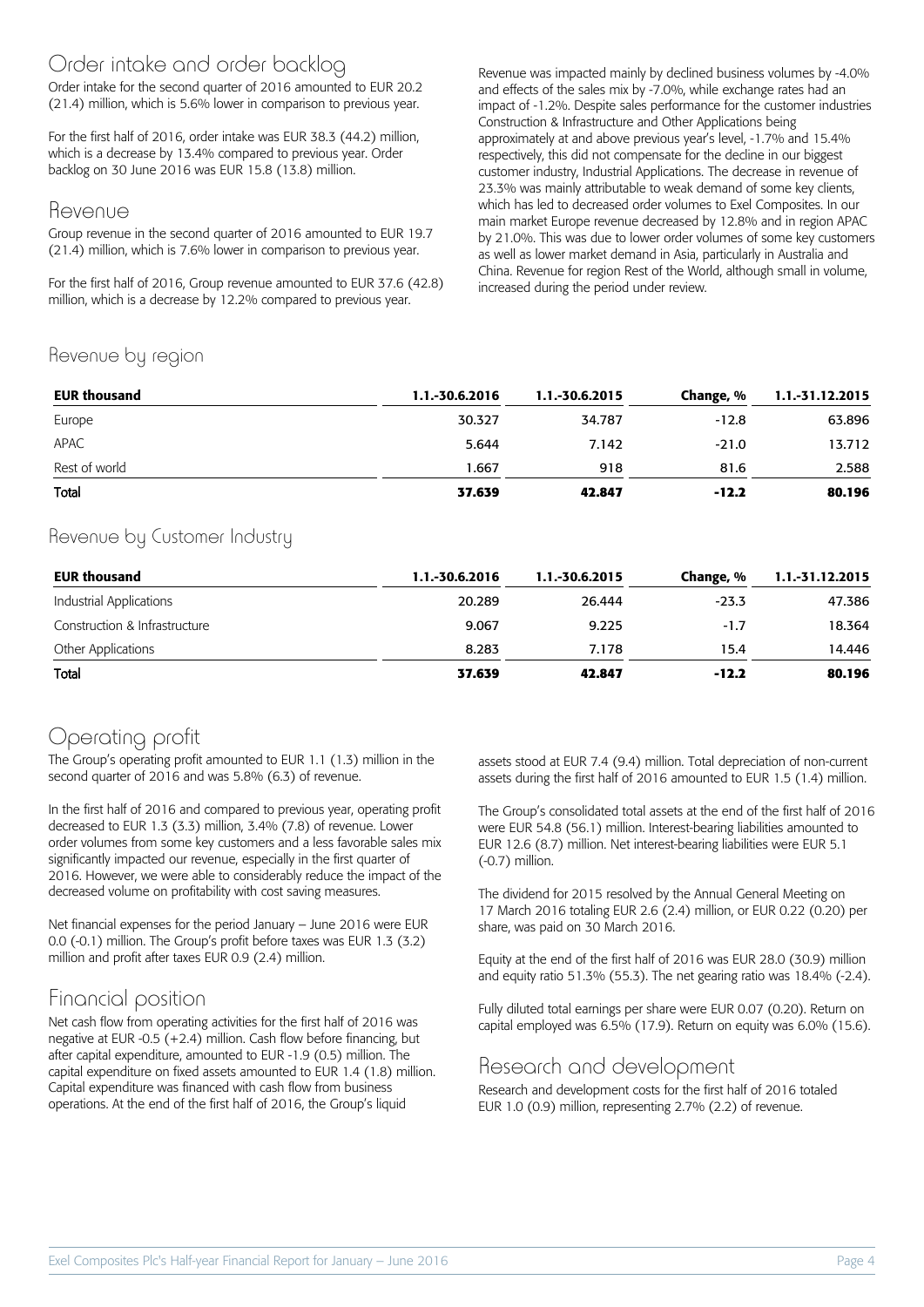#### Order intake and order backlog

Order intake for the second quarter of 2016 amounted to EUR 20.2 (21.4) million, which is 5.6% lower in comparison to previous year.

For the first half of 2016, order intake was EUR 38.3 (44.2) million, which is a decrease by 13.4% compared to previous year. Order backlog on 30 June 2016 was EUR 15.8 (13.8) million.

#### Revenue

Group revenue in the second quarter of 2016 amounted to EUR 19.7 (21.4) million, which is 7.6% lower in comparison to previous year.

For the first half of 2016, Group revenue amounted to EUR 37.6 (42.8) million, which is a decrease by 12.2% compared to previous year.

Revenue was impacted mainly by declined business volumes by -4.0% and effects of the sales mix by -7.0%, while exchange rates had an impact of -1.2%. Despite sales performance for the customer industries Construction & Infrastructure and Other Applications being approximately at and above previous year's level, -1.7% and 15.4% respectively, this did not compensate for the decline in our biggest customer industry, Industrial Applications. The decrease in revenue of 23.3% was mainly attributable to weak demand of some key clients, which has led to decreased order volumes to Exel Composites. In our main market Europe revenue decreased by 12.8% and in region APAC by 21.0%. This was due to lower order volumes of some key customers as well as lower market demand in Asia, particularly in Australia and China. Revenue for region Rest of the World, although small in volume, increased during the period under review.

#### Revenue by region

| <b>EUR thousand</b> | 1.1.-30.6.2016 | 1.1.-30.6.2015 | Change, % | 1.1.-31.12.2015 |
|---------------------|----------------|----------------|-----------|-----------------|
| Europe              | 30.327         | 34.787         | $-12.8$   | 63.896          |
| APAC                | 5.644          | 7.142          | $-21.0$   | 13.712          |
| Rest of world       | 1.667          | 918            | 81.6      | 2.588           |
| Total               | 37.639         | 42.847         | $-12.2$   | 80.196          |

#### Revenue by Customer Industry

| <b>EUR thousand</b>           | 1.1.-30.6.2016 | 1.1.-30.6.2015 | Change, % | 1.1.-31.12.2015 |
|-------------------------------|----------------|----------------|-----------|-----------------|
| Industrial Applications       | 20.289         | 26.444         | $-23.3$   | 47.386          |
| Construction & Infrastructure | 9.067          | 9.225          | $-1.7$    | 18.364          |
| Other Applications            | 8.283          | 7.178          | 15.4      | 14.446          |
| Total                         | 37.639         | 42.847         | $-12.2$   | 80.196          |

#### Operating profit

The Group's operating profit amounted to EUR 1.1 (1.3) million in the second quarter of 2016 and was 5.8% (6.3) of revenue.

In the first half of 2016 and compared to previous year, operating profit decreased to EUR 1.3 (3.3) million, 3.4% (7.8) of revenue. Lower order volumes from some key customers and a less favorable sales mix significantly impacted our revenue, especially in the first quarter of 2016. However, we were able to considerably reduce the impact of the decreased volume on profitability with cost saving measures.

Net financial expenses for the period January – June 2016 were EUR 0.0 (-0.1) million. The Group's profit before taxes was EUR 1.3 (3.2) million and profit after taxes EUR 0.9 (2.4) million.

#### Financial position

Net cash flow from operating activities for the first half of 2016 was negative at EUR -0.5 (+2.4) million. Cash flow before financing, but after capital expenditure, amounted to EUR -1.9 (0.5) million. The capital expenditure on fixed assets amounted to EUR 1.4 (1.8) million. Capital expenditure was financed with cash flow from business operations. At the end of the first half of 2016, the Group's liquid

assets stood at EUR 7.4 (9.4) million. Total depreciation of non-current assets during the first half of 2016 amounted to EUR 1.5 (1.4) million.

The Group's consolidated total assets at the end of the first half of 2016 were EUR 54.8 (56.1) million. Interest-bearing liabilities amounted to EUR 12.6 (8.7) million. Net interest-bearing liabilities were EUR 5.1 (-0.7) million.

The dividend for 2015 resolved by the Annual General Meeting on 17 March 2016 totaling EUR 2.6 (2.4) million, or EUR 0.22 (0.20) per share, was paid on 30 March 2016.

Equity at the end of the first half of 2016 was EUR 28.0 (30.9) million and equity ratio 51.3% (55.3). The net gearing ratio was 18.4% (-2.4).

Fully diluted total earnings per share were EUR 0.07 (0.20). Return on capital employed was 6.5% (17.9). Return on equity was 6.0% (15.6).

#### Research and development

Research and development costs for the first half of 2016 totaled EUR 1.0 (0.9) million, representing 2.7% (2.2) of revenue.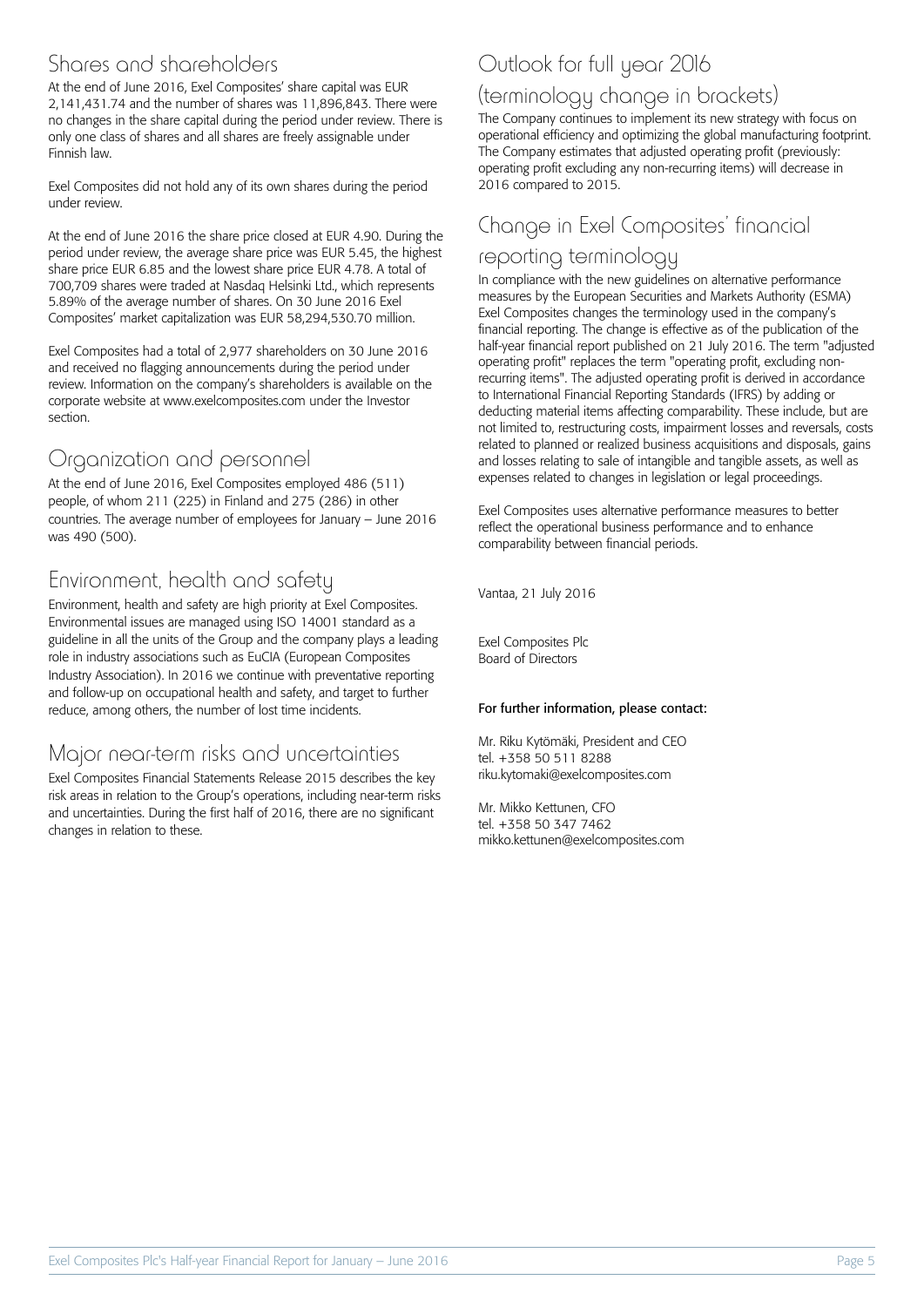#### Shares and shareholders

At the end of June 2016, Exel Composites' share capital was EUR 2,141,431.74 and the number of shares was 11,896,843. There were no changes in the share capital during the period under review. There is only one class of shares and all shares are freely assignable under Finnish law.

Exel Composites did not hold any of its own shares during the period under review.

At the end of June 2016 the share price closed at EUR 4.90. During the period under review, the average share price was EUR 5.45, the highest share price EUR 6.85 and the lowest share price EUR 4.78. A total of 700,709 shares were traded at Nasdaq Helsinki Ltd., which represents 5.89% of the average number of shares. On 30 June 2016 Exel Composites' market capitalization was EUR 58,294,530.70 million.

Exel Composites had a total of 2,977 shareholders on 30 June 2016 and received no flagging announcements during the period under review. Information on the company's shareholders is available on the corporate website at www.exelcomposites.com under the Investor section.

#### Organization and personnel

At the end of June 2016, Exel Composites employed 486 (511) people, of whom 211 (225) in Finland and 275 (286) in other countries. The average number of employees for January – June 2016 was 490 (500).

### Environment, health and safety

Environment, health and safety are high priority at Exel Composites. Environmental issues are managed using ISO 14001 standard as a guideline in all the units of the Group and the company plays a leading role in industry associations such as EuCIA (European Composites Industry Association). In 2016 we continue with preventative reporting and follow-up on occupational health and safety, and target to further reduce, among others, the number of lost time incidents.

#### Major near-term risks and uncertainties

Exel Composites Financial Statements Release 2015 describes the key risk areas in relation to the Group's operations, including near-term risks and uncertainties. During the first half of 2016, there are no significant changes in relation to these.

## Outlook for full year 2016

#### (terminology change in brackets)

The Company continues to implement its new strategy with focus on operational efficiency and optimizing the global manufacturing footprint. The Company estimates that adjusted operating profit (previously: operating profit excluding any non-recurring items) will decrease in 2016 compared to 2015.

### Change in Exel Composites' financial

#### reporting terminology

In compliance with the new guidelines on alternative performance measures by the European Securities and Markets Authority (ESMA) Exel Composites changes the terminology used in the company's financial reporting. The change is effective as of the publication of the half-year financial report published on 21 July 2016. The term "adjusted operating profit" replaces the term "operating profit, excluding nonrecurring items". The adjusted operating profit is derived in accordance to International Financial Reporting Standards (IFRS) by adding or deducting material items affecting comparability. These include, but are not limited to, restructuring costs, impairment losses and reversals, costs related to planned or realized business acquisitions and disposals, gains and losses relating to sale of intangible and tangible assets, as well as expenses related to changes in legislation or legal proceedings.

Exel Composites uses alternative performance measures to better reflect the operational business performance and to enhance comparability between financial periods.

Vantaa, 21 July 2016

Exel Composites Plc Board of Directors

#### For further information, please contact:

Mr. Riku Kytömäki, President and CEO tel. +358 50 511 8288 riku.kytomaki@exelcomposites.com

Mr. Mikko Kettunen, CFO tel. +358 50 347 7462 mikko.kettunen@exelcomposites.com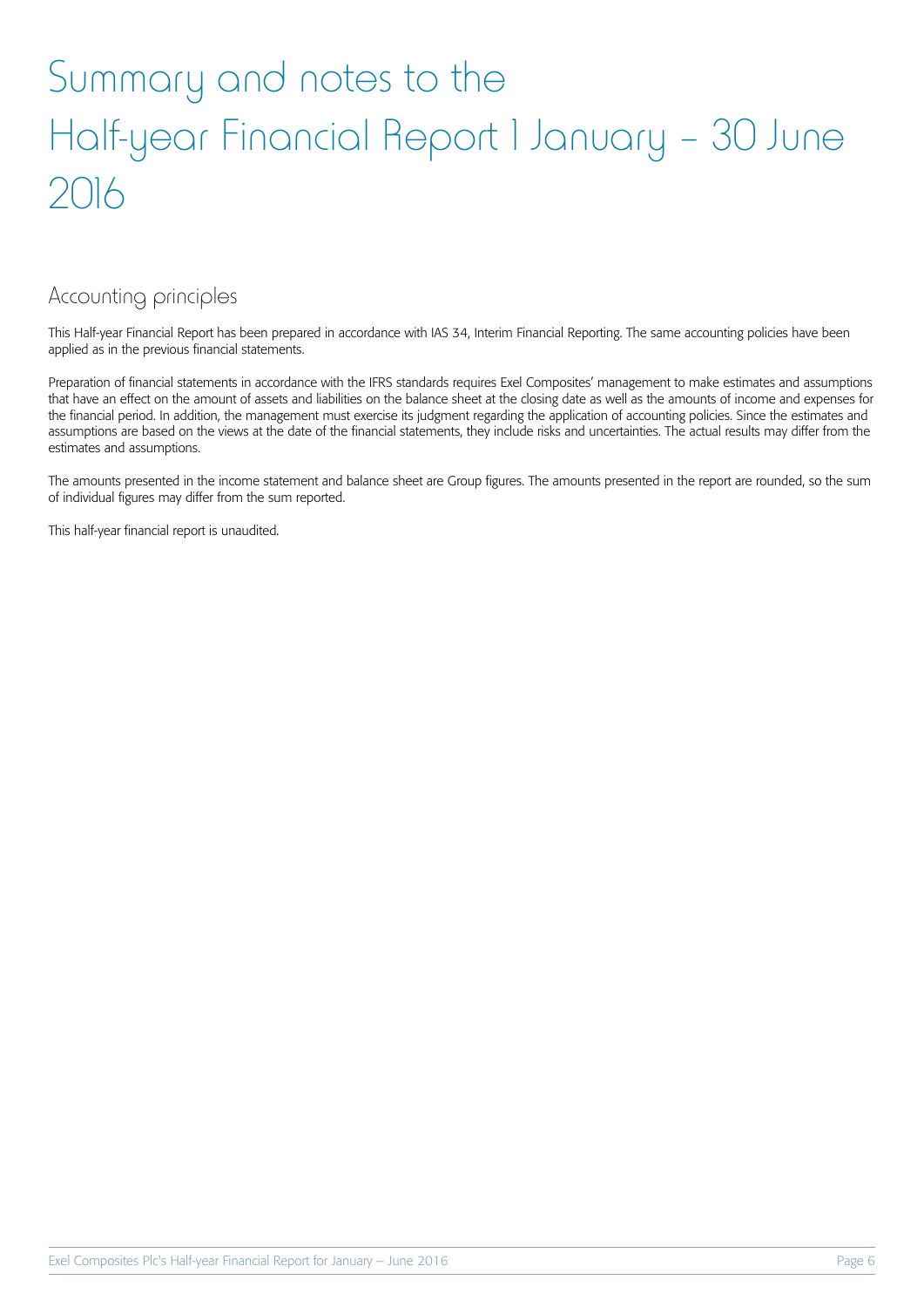## Summary and notes to the Half-year Financial Report 1 January – 30 June 2016

#### Accounting principles

This Half-year Financial Report has been prepared in accordance with IAS 34, Interim Financial Reporting. The same accounting policies have been applied as in the previous financial statements.

Preparation of financial statements in accordance with the IFRS standards requires Exel Composites' management to make estimates and assumptions that have an effect on the amount of assets and liabilities on the balance sheet at the closing date as well as the amounts of income and expenses for the financial period. In addition, the management must exercise its judgment regarding the application of accounting policies. Since the estimates and assumptions are based on the views at the date of the financial statements, they include risks and uncertainties. The actual results may differ from the estimates and assumptions.

The amounts presented in the income statement and balance sheet are Group figures. The amounts presented in the report are rounded, so the sum of individual figures may differ from the sum reported.

This half-year financial report is unaudited.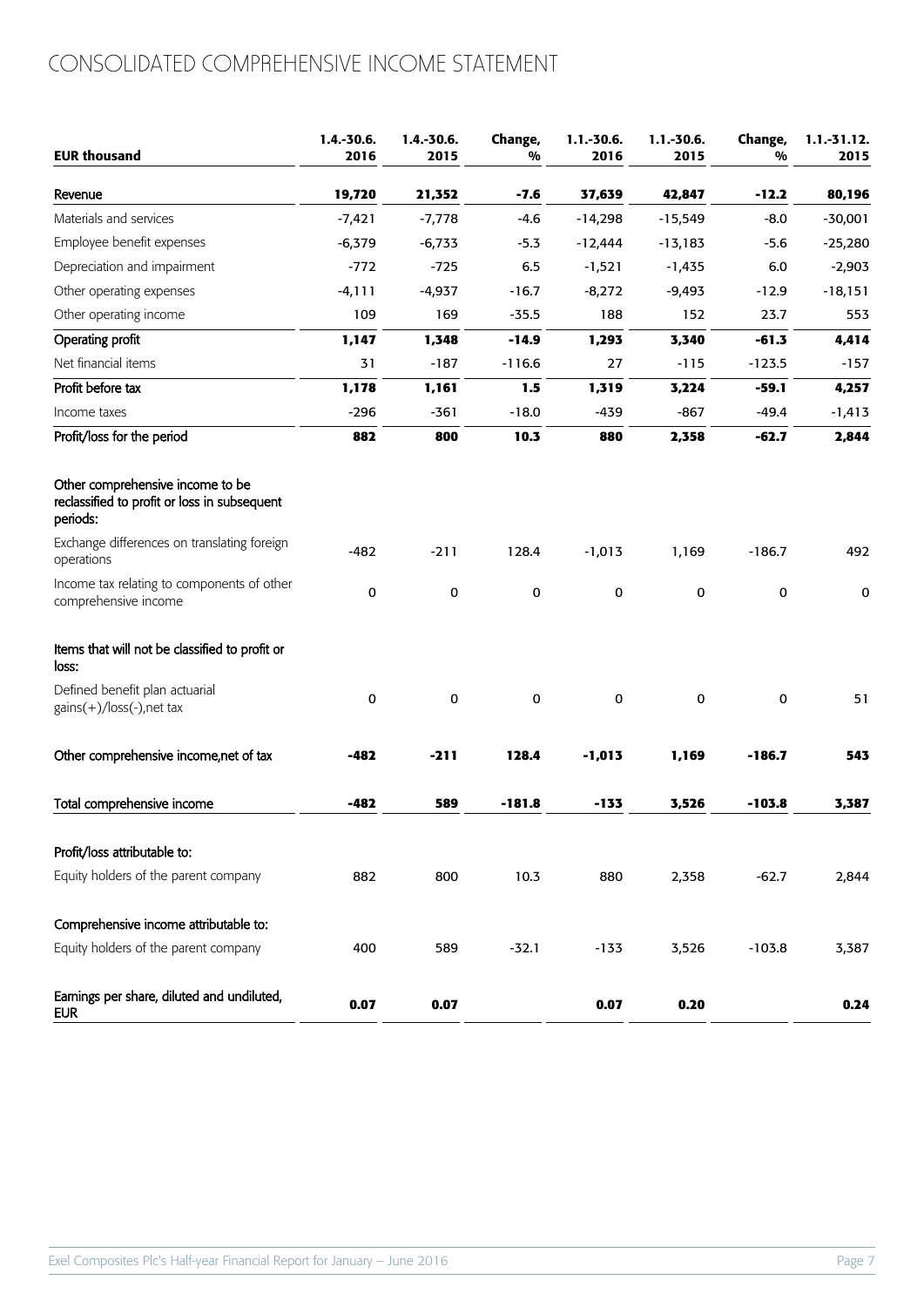## CONSOLIDATED COMPREHENSIVE INCOME STATEMENT

| <b>EUR thousand</b>                                                                          | $1.4 - 30.6$<br>2016 | $1.4.-30.6.$<br>2015 | Change,<br>% | $1.1.-30.6.$<br>2016 | $1.1.-30.6.$<br>2015 | Change,<br>% | $1.1.-31.12.$<br>2015 |
|----------------------------------------------------------------------------------------------|----------------------|----------------------|--------------|----------------------|----------------------|--------------|-----------------------|
| Revenue                                                                                      | 19,720               | 21,352               | $-7.6$       | 37,639               | 42,847               | $-12.2$      | 80,196                |
| Materials and services                                                                       | $-7,421$             | $-7,778$             | $-4.6$       | $-14,298$            | $-15,549$            | $-8.0$       | $-30,001$             |
| Employee benefit expenses                                                                    | $-6,379$             | $-6,733$             | $-5.3$       | $-12,444$            | $-13,183$            | $-5.6$       | $-25,280$             |
| Depreciation and impairment                                                                  | $-772$               | $-725$               | 6.5          | $-1,521$             | $-1,435$             | 6.0          | $-2,903$              |
| Other operating expenses                                                                     | $-4,111$             | $-4,937$             | $-16.7$      | $-8,272$             | $-9,493$             | $-12.9$      | $-18,151$             |
| Other operating income                                                                       | 109                  | 169                  | $-35.5$      | 188                  | 152                  | 23.7         | 553                   |
| Operating profit                                                                             | 1,147                | 1,348                | $-14.9$      | 1,293                | 3,340                | $-61.3$      | 4,414                 |
| Net financial items                                                                          | 31                   | $-187$               | $-116.6$     | 27                   | $-115$               | $-123.5$     | $-157$                |
| Profit before tax                                                                            | 1,178                | 1,161                | 1.5          | 1,319                | 3,224                | $-59.1$      | 4,257                 |
| Income taxes                                                                                 | $-296$               | $-361$               | $-18.0$      | $-439$               | $-867$               | $-49.4$      | $-1,413$              |
| Profit/loss for the period                                                                   | 882                  | 800                  | 10.3         | 880                  | 2,358                | $-62.7$      | 2,844                 |
| Other comprehensive income to be<br>reclassified to profit or loss in subsequent<br>periods: |                      |                      |              |                      |                      |              |                       |
| Exchange differences on translating foreign<br>operations                                    | $-482$               | $-211$               | 128.4        | $-1,013$             | 1,169                | $-186.7$     | 492                   |
| Income tax relating to components of other<br>comprehensive income                           | 0                    | 0                    | 0            | $\pmb{0}$            | $\mathbf 0$          | 0            | 0                     |
| Items that will not be classified to profit or<br>loss:                                      |                      |                      |              |                      |                      |              |                       |
| Defined benefit plan actuarial<br>$gains(+)/loss(-)$ , net tax                               | 0                    | $\mathbf 0$          | 0            | $\pmb{0}$            | $\mathbf 0$          | $\mathbf 0$  | 51                    |
| Other comprehensive income, net of tax                                                       | $-482$               | $-211$               | 128.4        | $-1,013$             | 1,169                | $-186.7$     | 543                   |
| Total comprehensive income                                                                   | $-482$               | 589                  | $-181.8$     | $-133$               | 3,526                | $-103.8$     | 3,387                 |
| Profit/loss attributable to:                                                                 |                      |                      |              |                      |                      |              |                       |
| Equity holders of the parent company                                                         | 882                  | 800                  | 10.3         | 880                  | 2,358                | $-62.7$      | 2,844                 |
| Comprehensive income attributable to:                                                        |                      |                      |              |                      |                      |              |                       |
| Equity holders of the parent company                                                         | 400                  | 589                  | $-32.1$      | $-133$               | 3,526                | $-103.8$     | 3,387                 |
| Earnings per share, diluted and undiluted,<br><b>EUR</b>                                     | 0.07                 | 0.07                 |              | 0.07                 | 0.20                 |              | 0.24                  |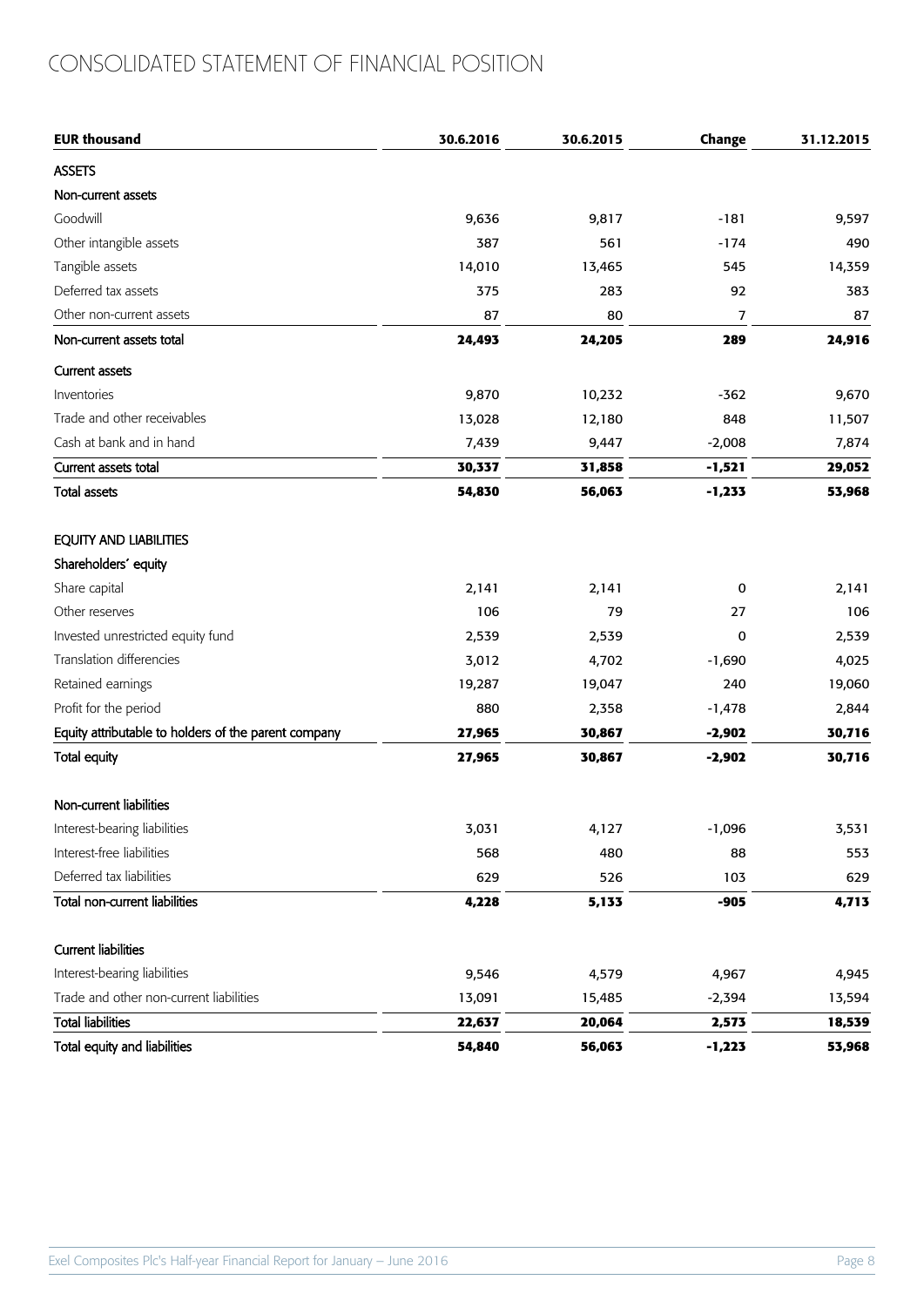## CONSOLIDATED STATEMENT OF FINANCIAL POSITION

| <b>EUR thousand</b>                                  | 30.6.2016 | 30.6.2015 | Change         | 31.12.2015 |
|------------------------------------------------------|-----------|-----------|----------------|------------|
| <b>ASSETS</b>                                        |           |           |                |            |
| Non-current assets                                   |           |           |                |            |
| Goodwill                                             | 9,636     | 9,817     | $-181$         | 9,597      |
| Other intangible assets                              | 387       | 561       | $-174$         | 490        |
| Tangible assets                                      | 14,010    | 13,465    | 545            | 14,359     |
| Deferred tax assets                                  | 375       | 283       | 92             | 383        |
| Other non-current assets                             | 87        | 80        | $\overline{7}$ | 87         |
| Non-current assets total                             | 24,493    | 24,205    | 289            | 24,916     |
| <b>Current assets</b>                                |           |           |                |            |
| Inventories                                          | 9,870     | 10,232    | $-362$         | 9,670      |
| Trade and other receivables                          | 13,028    | 12,180    | 848            | 11,507     |
| Cash at bank and in hand                             | 7,439     | 9,447     | $-2,008$       | 7,874      |
| Current assets total                                 | 30,337    | 31,858    | $-1,521$       | 29,052     |
| <b>Total assets</b>                                  | 54,830    | 56,063    | $-1,233$       | 53,968     |
| EQUITY AND LIABILITIES                               |           |           |                |            |
| Shareholders' equity                                 |           |           |                |            |
| Share capital                                        | 2,141     | 2,141     | 0              | 2,141      |
| Other reserves                                       | 106       | 79        | 27             | 106        |
| Invested unrestricted equity fund                    | 2,539     | 2,539     | 0              | 2,539      |
| Translation differencies                             | 3,012     | 4,702     | $-1,690$       | 4,025      |
| Retained earnings                                    | 19,287    | 19,047    | 240            | 19,060     |
| Profit for the period                                | 880       | 2,358     | $-1,478$       | 2,844      |
| Equity attributable to holders of the parent company | 27,965    | 30,867    | $-2,902$       | 30,716     |
| Total equity                                         | 27,965    | 30,867    | $-2,902$       | 30,716     |
| Non-current liabilities                              |           |           |                |            |
| Interest-bearing liabilities                         | 3,031     | 4,127     | $-1,096$       | 3,531      |
| Interest-free liabilities                            | 568       | 480       | 88             | 553        |
| Deferred tax liabilities                             | 629       | 526       | 103            | 629        |
| Total non-current liabilities                        | 4,228     | 5,133     | $-905$         | 4,713      |
| <b>Current liabilities</b>                           |           |           |                |            |
| Interest-bearing liabilities                         | 9,546     | 4,579     | 4,967          | 4,945      |
| Trade and other non-current liabilities              | 13,091    | 15,485    | $-2,394$       | 13,594     |
| <b>Total liabilities</b>                             | 22,637    | 20,064    | 2,573          | 18,539     |
| Total equity and liabilities                         | 54,840    | 56,063    | $-1,223$       | 53,968     |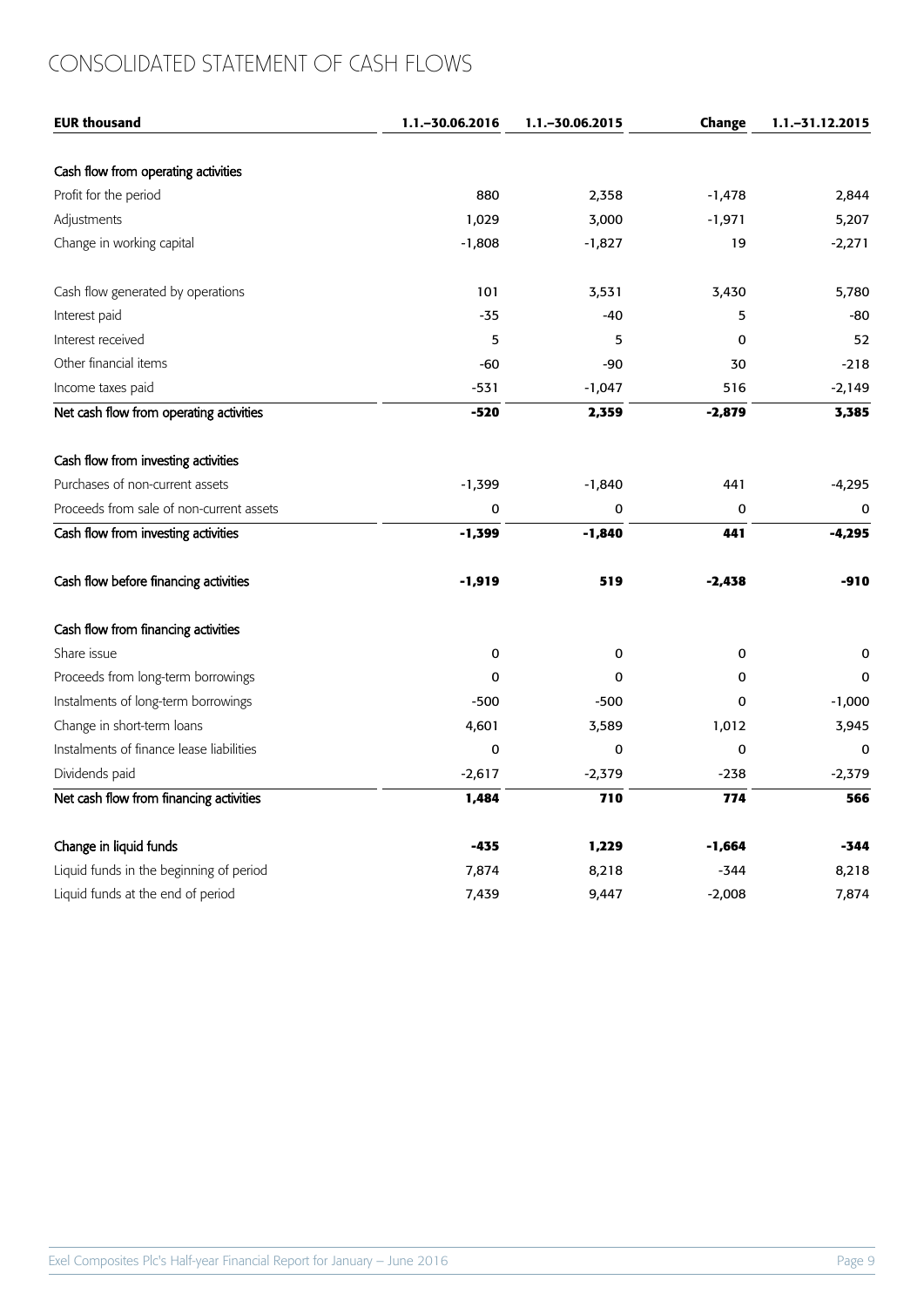## CONSOLIDATED STATEMENT OF CASH FLOWS

| <b>EUR thousand</b>                      | 1.1. - 30.06.2016 | 1.1. - 30.06.2015 | Change   | 1.1. - 31.12.2015 |
|------------------------------------------|-------------------|-------------------|----------|-------------------|
|                                          |                   |                   |          |                   |
| Cash flow from operating activities      |                   |                   |          |                   |
| Profit for the period                    | 880               | 2,358             | $-1,478$ | 2,844             |
| Adjustments                              | 1,029             | 3,000             | $-1,971$ | 5,207             |
| Change in working capital                | $-1,808$          | $-1,827$          | 19       | $-2,271$          |
| Cash flow generated by operations        | 101               | 3,531             | 3,430    | 5,780             |
| Interest paid                            | $-35$             | $-40$             | 5        | -80               |
| Interest received                        | 5                 | 5                 | 0        | 52                |
| Other financial items                    | -60               | -90               | 30       | $-218$            |
| Income taxes paid                        | $-531$            | $-1,047$          | 516      | $-2,149$          |
| Net cash flow from operating activities  | $-520$            | 2,359             | $-2,879$ | 3,385             |
| Cash flow from investing activities      |                   |                   |          |                   |
| Purchases of non-current assets          | $-1,399$          | $-1,840$          | 441      | $-4,295$          |
| Proceeds from sale of non-current assets | 0                 | 0                 | 0        | $\mathbf 0$       |
| Cash flow from investing activities      | $-1,399$          | $-1,840$          | 441      | $-4,295$          |
| Cash flow before financing activities    | -1,919            | 519               | $-2,438$ | -910              |
| Cash flow from financing activities      |                   |                   |          |                   |
| Share issue                              | 0                 | 0                 | 0        | 0                 |
| Proceeds from long-term borrowings       | 0                 | 0                 | $\Omega$ | $\Omega$          |
| Instalments of long-term borrowings      | $-500$            | $-500$            | 0        | $-1,000$          |
| Change in short-term loans               | 4,601             | 3,589             | 1,012    | 3,945             |
| Instalments of finance lease liabilities | 0                 | 0                 | 0        | $\mathbf 0$       |
| Dividends paid                           | $-2,617$          | $-2,379$          | $-238$   | $-2,379$          |
| Net cash flow from financing activities  | 1,484             | 710               | 774      | 566               |
| Change in liquid funds                   | $-435$            | 1,229             | -1,664   | -344              |
| Liquid funds in the beginning of period  | 7,874             | 8,218             | $-344$   | 8,218             |
| Liquid funds at the end of period        | 7,439             | 9,447             | $-2,008$ | 7,874             |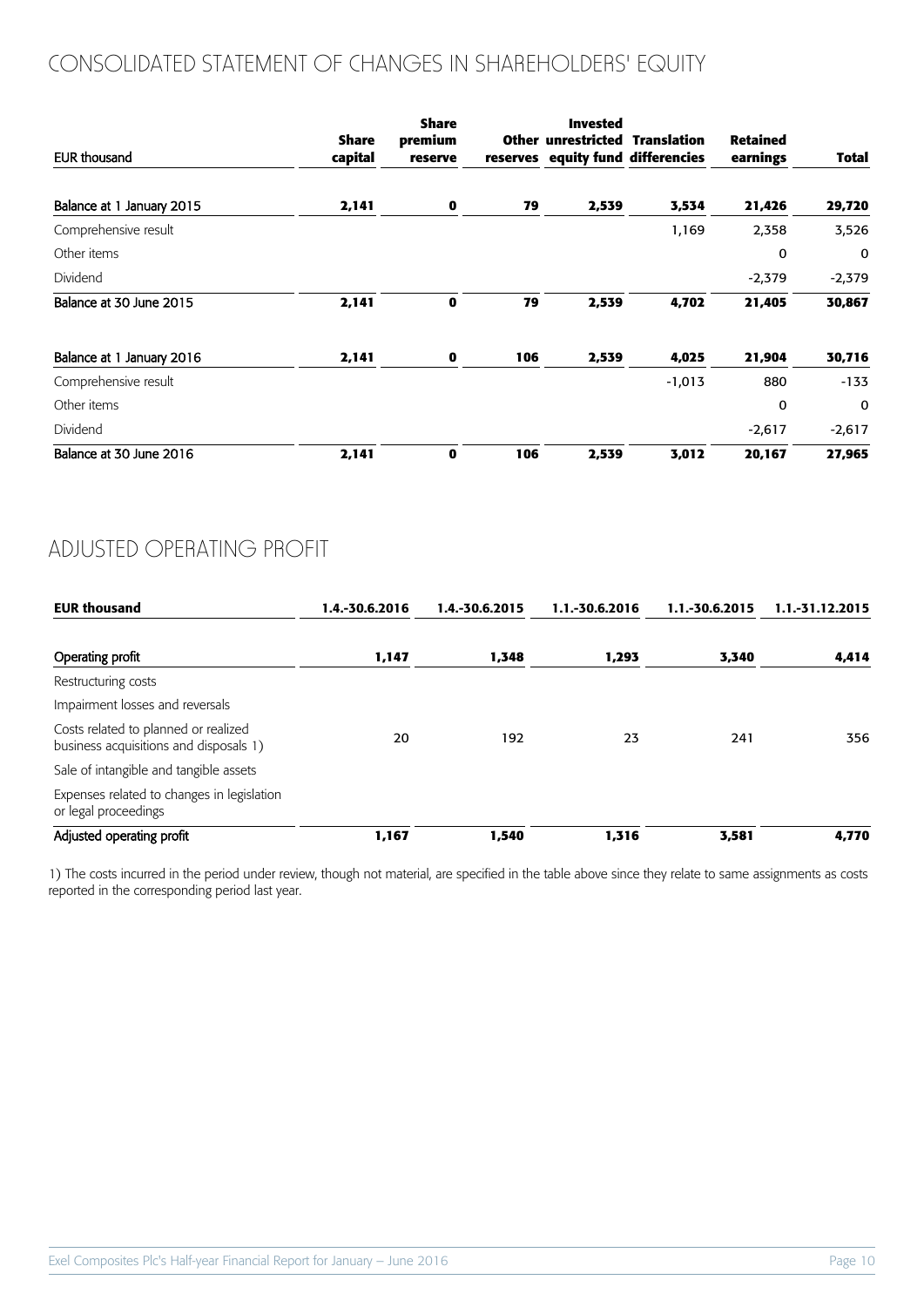## CONSOLIDATED STATEMENT OF CHANGES IN SHAREHOLDERS' EQUITY

| EUR thousand              | Share<br>capital | <b>Share</b><br>premium<br>reserve |     | <b>Invested</b><br><b>Other unrestricted Translation</b><br>reserves equity fund differencies |          | <b>Retained</b><br>earnings | Total        |
|---------------------------|------------------|------------------------------------|-----|-----------------------------------------------------------------------------------------------|----------|-----------------------------|--------------|
| Balance at 1 January 2015 | 2,141            | 0                                  | 79  | 2,539                                                                                         | 3,534    | 21,426                      | 29,720       |
| Comprehensive result      |                  |                                    |     |                                                                                               | 1,169    | 2,358                       | 3,526        |
| Other items               |                  |                                    |     |                                                                                               |          | 0                           | $\mathbf{0}$ |
| Dividend                  |                  |                                    |     |                                                                                               |          | $-2,379$                    | $-2,379$     |
| Balance at 30 June 2015   | 2,141            | $\mathbf 0$                        | 79  | 2,539                                                                                         | 4,702    | 21,405                      | 30,867       |
| Balance at 1 January 2016 | 2,141            | 0                                  | 106 | 2,539                                                                                         | 4,025    | 21,904                      | 30,716       |
| Comprehensive result      |                  |                                    |     |                                                                                               | $-1,013$ | 880                         | $-133$       |
| Other items               |                  |                                    |     |                                                                                               |          | $\mathbf 0$                 | $\mathbf 0$  |
| Dividend                  |                  |                                    |     |                                                                                               |          | $-2,617$                    | $-2,617$     |
| Balance at 30 June 2016   | 2,141            | $\mathbf 0$                        | 106 | 2,539                                                                                         | 3,012    | 20,167                      | 27,965       |

### ADJUSTED OPERATING PROFIT

| <b>EUR thousand</b>                                                            | 1.4.-30.6.2016 | 1.4.-30.6.2015 | 1.1.-30.6.2016 | 1.1.-30.6.2015 | 1.1.-31.12.2015 |
|--------------------------------------------------------------------------------|----------------|----------------|----------------|----------------|-----------------|
| Operating profit                                                               | 1,147          | 1,348          | 1,293          | 3,340          | 4,414           |
| Restructuring costs                                                            |                |                |                |                |                 |
| Impairment losses and reversals                                                |                |                |                |                |                 |
| Costs related to planned or realized<br>business acquisitions and disposals 1) | 20             | 192            | 23             | 241            | 356             |
| Sale of intangible and tangible assets                                         |                |                |                |                |                 |
| Expenses related to changes in legislation<br>or legal proceedings             |                |                |                |                |                 |
| Adjusted operating profit                                                      | 1,167          | 1,540          | 1,316          | 3,581          | 4,770           |

1) The costs incurred in the period under review, though not material, are specified in the table above since they relate to same assignments as costs reported in the corresponding period last year.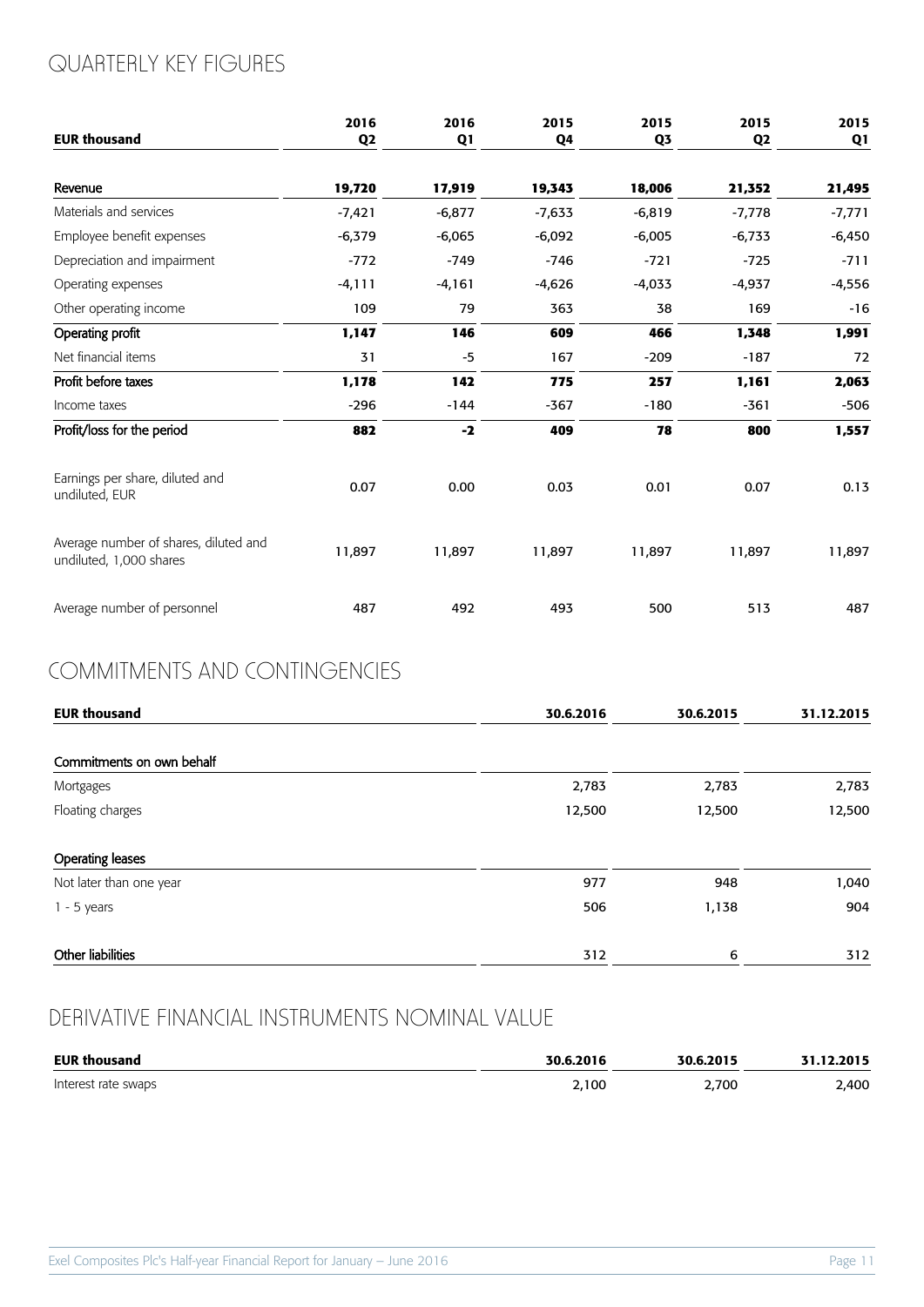## QUARTERLY KEY FIGURES

| <b>EUR thousand</b>                                              | 2016<br>Q <sub>2</sub> | 2016<br>Q1 | 2015<br>Q4 | 2015<br>Q3 | 2015<br>Q <sub>2</sub> | 2015<br>Q1 |
|------------------------------------------------------------------|------------------------|------------|------------|------------|------------------------|------------|
| Revenue                                                          | 19,720                 | 17,919     | 19,343     | 18,006     | 21,352                 | 21,495     |
| Materials and services                                           | $-7,421$               | $-6,877$   | $-7,633$   | $-6,819$   | $-7,778$               | $-7,771$   |
| Employee benefit expenses                                        | $-6,379$               | $-6,065$   | $-6,092$   | $-6,005$   | $-6,733$               | $-6,450$   |
| Depreciation and impairment                                      | $-772$                 | $-749$     | $-746$     | $-721$     | $-725$                 | $-711$     |
| Operating expenses                                               | $-4,111$               | $-4,161$   | $-4,626$   | $-4,033$   | $-4,937$               | $-4,556$   |
| Other operating income                                           | 109                    | 79         | 363        | 38         | 169                    | $-16$      |
| Operating profit                                                 | 1,147                  | 146        | 609        | 466        | 1,348                  | 1,991      |
| Net financial items                                              | 31                     | $-5$       | 167        | $-209$     | $-187$                 | 72         |
| Profit before taxes                                              | 1,178                  | 142        | 775        | 257        | 1,161                  | 2,063      |
| Income taxes                                                     | $-296$                 | $-144$     | $-367$     | $-180$     | $-361$                 | $-506$     |
| Profit/loss for the period                                       | 882                    | $-2$       | 409        | 78         | 800                    | 1,557      |
| Earnings per share, diluted and<br>undiluted, EUR                | 0.07                   | 0.00       | 0.03       | 0.01       | 0.07                   | 0.13       |
| Average number of shares, diluted and<br>undiluted, 1,000 shares | 11,897                 | 11,897     | 11,897     | 11,897     | 11,897                 | 11,897     |
| Average number of personnel                                      | 487                    | 492        | 493        | 500        | 513                    | 487        |

### COMMITMENTS AND CONTINGENCIES

| <b>EUR thousand</b>       | 30.6.2016 | 30.6.2015 | 31.12.2015 |
|---------------------------|-----------|-----------|------------|
| Commitments on own behalf |           |           |            |
| Mortgages                 | 2,783     | 2,783     | 2,783      |
| Floating charges          | 12,500    | 12,500    | 12,500     |
| Operating leases          |           |           |            |
| Not later than one year   | 977       | 948       | 1,040      |
| $1 - 5$ years             | 506       | 1,138     | 904        |
| Other liabilities         | 312       | 6         | 312        |

## DERIVATIVE FINANCIAL INSTRUMENTS NOMINAL VALUE

| <b>EUR thousand</b> | 30.6.2016 | 30.6.2015 | 31.12.2015 |
|---------------------|-----------|-----------|------------|
| Interest rate swaps | 2,100     | 2,700     | 2,400      |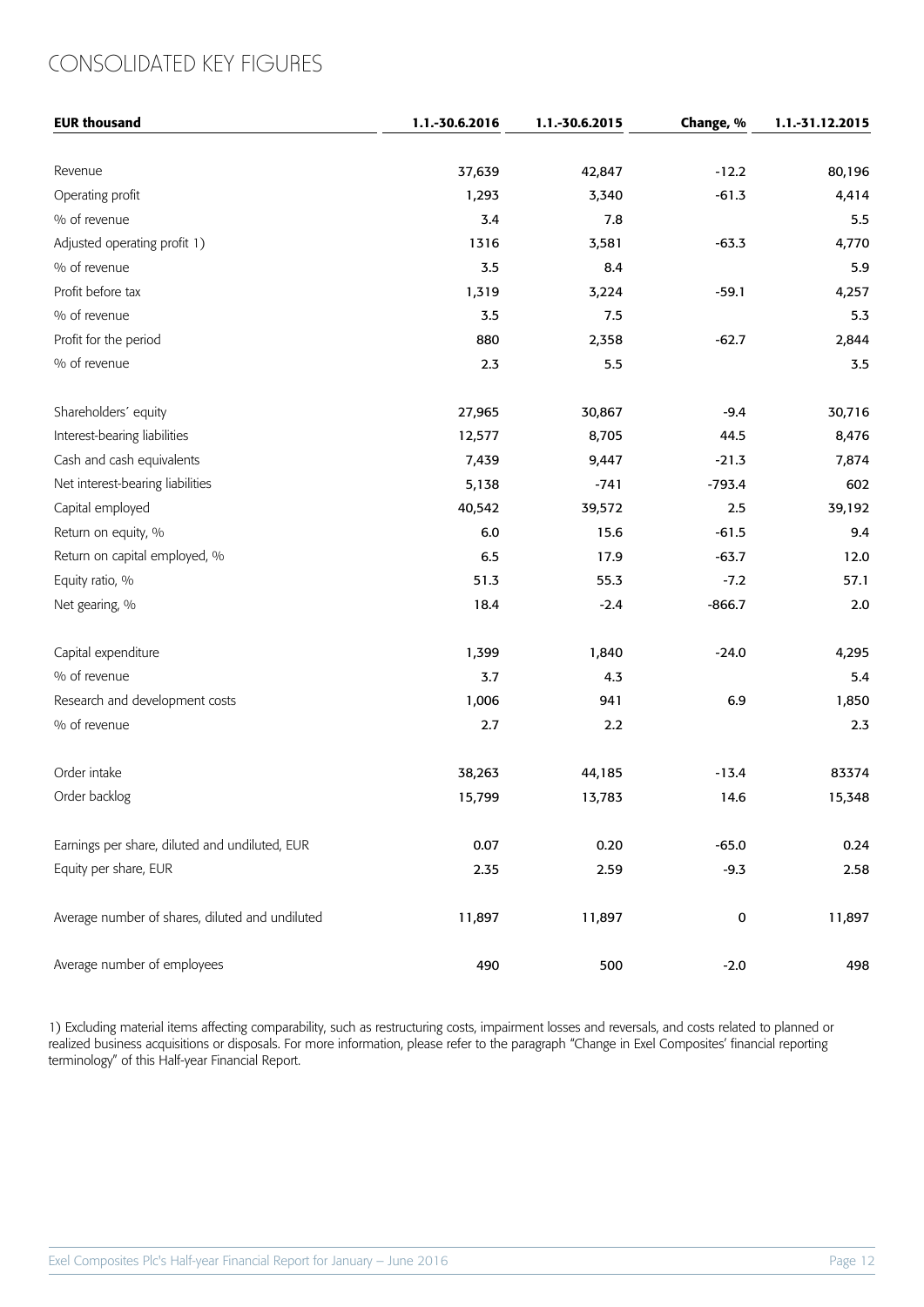## CONSOLIDATED KEY FIGURES

| <b>EUR thousand</b>                             | 1.1.-30.6.2016 | 1.1.-30.6.2015 | Change, %   | 1.1.-31.12.2015 |
|-------------------------------------------------|----------------|----------------|-------------|-----------------|
|                                                 |                |                |             |                 |
| Revenue                                         | 37,639         | 42,847         | $-12.2$     | 80,196          |
| Operating profit                                | 1,293          | 3,340          | $-61.3$     | 4,414           |
| % of revenue                                    | 3.4            | 7.8            |             | 5.5             |
| Adjusted operating profit 1)                    | 1316           | 3,581          | $-63.3$     | 4,770           |
| % of revenue                                    | 3.5            | 8.4            |             | 5.9             |
| Profit before tax                               | 1,319          | 3,224          | $-59.1$     | 4,257           |
| % of revenue                                    | 3.5            | 7.5            |             | 5.3             |
| Profit for the period                           | 880            | 2,358          | $-62.7$     | 2,844           |
| % of revenue                                    | 2.3            | 5.5            |             | 3.5             |
| Shareholders' equity                            | 27,965         | 30,867         | $-9.4$      | 30,716          |
| Interest-bearing liabilities                    | 12,577         | 8,705          | 44.5        | 8,476           |
| Cash and cash equivalents                       | 7,439          | 9,447          | $-21.3$     | 7,874           |
| Net interest-bearing liabilities                | 5,138          | $-741$         | $-793.4$    | 602             |
| Capital employed                                | 40,542         | 39,572         | 2.5         | 39,192          |
| Return on equity, %                             | $6.0\,$        | 15.6           | $-61.5$     | 9.4             |
| Return on capital employed, %                   | 6.5            | 17.9           | $-63.7$     | 12.0            |
| Equity ratio, %                                 | 51.3           | 55.3           | $-7.2$      | 57.1            |
| Net gearing, %                                  | 18.4           | $-2.4$         | $-866.7$    | $2.0\,$         |
| Capital expenditure                             | 1,399          | 1,840          | $-24.0$     | 4,295           |
| % of revenue                                    | 3.7            | 4.3            |             | 5.4             |
| Research and development costs                  | 1,006          | 941            | 6.9         | 1,850           |
| % of revenue                                    | 2.7            | 2.2            |             | $2.3\,$         |
| Order intake                                    | 38,263         | 44,185         | $-13.4$     | 83374           |
| Order backlog                                   | 15,799         | 13,783         | 14.6        | 15,348          |
| Earnings per share, diluted and undiluted, EUR  | 0.07           | 0.20           | $-65.0$     | 0.24            |
| Equity per share, EUR                           | 2.35           | 2.59           | $-9.3$      | 2.58            |
| Average number of shares, diluted and undiluted | 11,897         | 11,897         | $\mathbf 0$ | 11,897          |
| Average number of employees                     | 490            | 500            | $-2.0$      | 498             |

1) Excluding material items affecting comparability, such as restructuring costs, impairment losses and reversals, and costs related to planned or realized business acquisitions or disposals. For more information, please refer to the paragraph "Change in Exel Composites' financial reporting terminology" of this Half-year Financial Report.